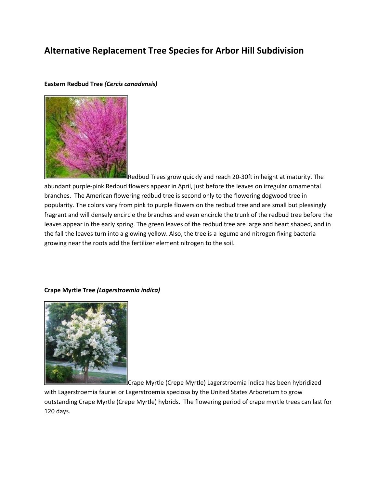# **Alternative Replacement Tree Species for Arbor Hill Subdivision**

# **Eastern Redbud Tree** *(Cercis canadensis)*



Redbud Trees grow quickly and reach 20-30ft in height at maturity. The abundant purple-pink Redbud flowers appear in April, just before the leaves on irregular ornamental branches. The American flowering redbud tree is second only to the flowering dogwood tree in popularity. The colors vary from pink to purple flowers on the redbud tree and are small but pleasingly fragrant and will densely encircle the branches and even encircle the trunk of the redbud tree before the leaves appear in the early spring. The green leaves of the redbud tree are large and heart shaped, and in the fall the leaves turn into a glowing yellow. Also, the tree is a legume and nitrogen fixing bacteria growing near the roots add the fertilizer element nitrogen to the soil.

### **Crape Myrtle Tree** *(Lagerstroemia indica)*



Crape Myrtle (Crepe Myrtle) Lagerstroemia indica has been hybridized

with Lagerstroemia fauriei or Lagerstroemia speciosa by the United States Arboretum to grow outstanding Crape Myrtle (Crepe Myrtle) hybrids. The flowering period of crape myrtle trees can last for 120 days.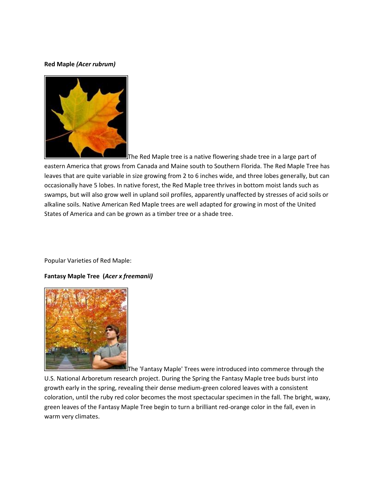# **Red Maple** *(Acer rubrum)*



The Red Maple tree is a native flowering shade tree in a large part of

eastern America that grows from Canada and Maine south to Southern Florida. The Red Maple Tree has leaves that are quite variable in size growing from 2 to 6 inches wide, and three lobes generally, but can occasionally have 5 lobes. In native forest, the Red Maple tree thrives in bottom moist lands such as swamps, but will also grow well in upland soil profiles, apparently unaffected by stresses of acid soils or alkaline soils. Native American Red Maple trees are well adapted for growing in most of the United States of America and can be grown as a timber tree or a shade tree.

Popular Varieties of Red Maple:

# **Fantasy Maple Tree (***Acer x freemanii)*



The 'Fantasy Maple' Trees were introduced into commerce through the

U.S. National Arboretum research project. During the Spring the Fantasy Maple tree buds burst into growth early in the spring, revealing their dense medium-green colored leaves with a consistent coloration, until the ruby red color becomes the most spectacular specimen in the fall. The bright, waxy, green leaves of the Fantasy Maple Tree begin to turn a brilliant red-orange color in the fall, even in warm very climates.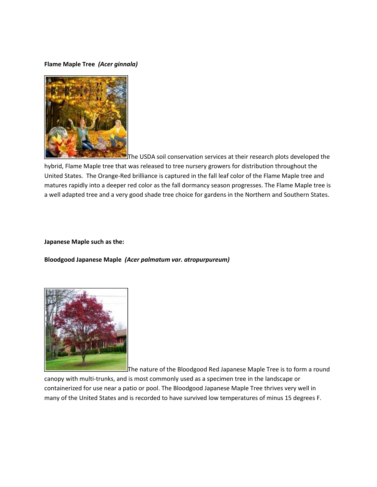# **Flame Maple Tree** *(Acer ginnala)*



The USDA soil conservation services at their research plots developed the hybrid, Flame Maple tree that was released to tree nursery growers for distribution throughout the United States. The Orange-Red brilliance is captured in the fall leaf color of the Flame Maple tree and matures rapidly into a deeper red color as the fall dormancy season progresses. The Flame Maple tree is a well adapted tree and a very good shade tree choice for gardens in the Northern and Southern States.

#### **Japanese Maple such as the:**

**Bloodgood Japanese Maple** *(Acer palmatum var. atropurpureum)*



The nature of the Bloodgood Red Japanese Maple Tree is to form a round

canopy with multi-trunks, and is most commonly used as a specimen tree in the landscape or containerized for use near a patio or pool. The Bloodgood Japanese Maple Tree thrives very well in many of the United States and is recorded to have survived low temperatures of minus 15 degrees F.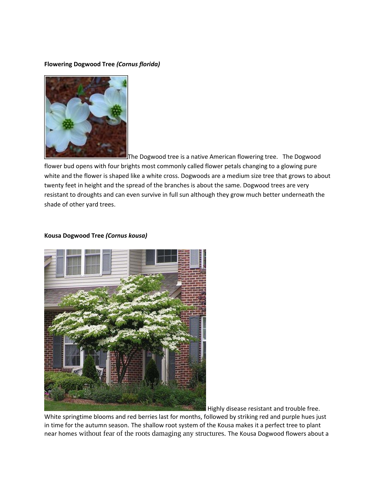# **Flowering Dogwood Tree** *(Cornus florida)*



The Dogwood tree is a native American flowering tree. The Dogwood

flower bud opens with four brights most commonly called flower petals changing to a glowing pure white and the flower is shaped like a white cross. Dogwoods are a medium size tree that grows to about twenty feet in height and the spread of the branches is about the same. Dogwood trees are very resistant to droughts and can even survive in full sun although they grow much better underneath the shade of other yard trees.

# **Kousa Dogwood Tree** *(Cornus kousa)*



Highly disease resistant and trouble free.

White springtime blooms and red berries last for months, followed by striking red and purple hues just in time for the autumn season. The shallow root system of the Kousa makes it a perfect tree to plant near homes without fear of the roots damaging any structures. The Kousa Dogwood flowers about a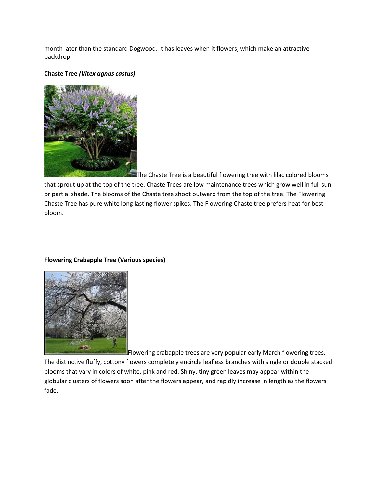month later than the standard Dogwood. It has leaves when it flowers, which make an attractive backdrop.

## **Chaste Tree** *(Vitex agnus castus)*



The Chaste Tree is a beautiful flowering tree with lilac colored blooms that sprout up at the top of the tree. Chaste Trees are low maintenance trees which grow well in full sun or partial shade. The blooms of the Chaste tree shoot outward from the top of the tree. The Flowering Chaste Tree has pure white long lasting flower spikes. The Flowering Chaste tree prefers heat for best

bloom.

# **Flowering Crabapple Tree (Various species)**

**E** Flowering crabapple trees are very popular early March flowering trees.

The distinctive fluffy, cottony flowers completely encircle leafless branches with single or double stacked blooms that vary in colors of white, pink and red. Shiny, tiny green leaves may appear within the globular clusters of flowers soon after the flowers appear, and rapidly increase in length as the flowers fade.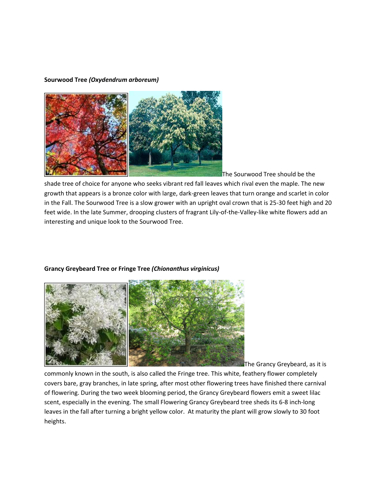### **Sourwood Tree** *(Oxydendrum arboreum)*



The Sourwood Tree should be the

shade tree of choice for anyone who seeks vibrant red fall leaves which rival even the maple. The new growth that appears is a bronze color with large, dark-green leaves that turn orange and scarlet in color in the Fall. The Sourwood Tree is a slow grower with an upright oval crown that is 25-30 feet high and 20 feet wide. In the late Summer, drooping clusters of fragrant Lily-of-the-Valley-like white flowers add an interesting and unique look to the Sourwood Tree.

### **Grancy Greybeard Tree or Fringe Tree** *(Chionanthus virginicus)*



The Grancy Greybeard, as it is

commonly known in the south, is also called the Fringe tree. This white, feathery flower completely covers bare, gray branches, in late spring, after most other flowering trees have finished there carnival of flowering. During the two week blooming period, the Grancy Greybeard flowers emit a sweet lilac scent, especially in the evening. The small Flowering Grancy Greybeard tree sheds its 6-8 inch-long leaves in the fall after turning a bright yellow color. At maturity the plant will grow slowly to 30 foot heights.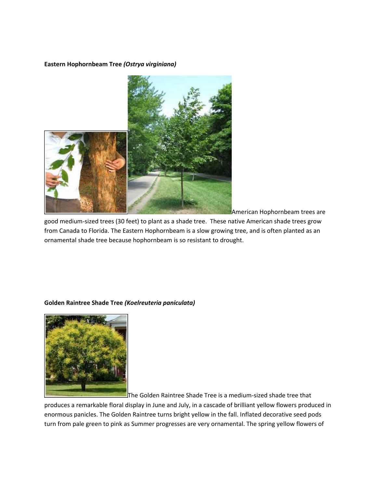## **Eastern Hophornbeam Tree** *(Ostrya virginiana)*



American Hophornbeam trees are

good medium-sized trees (30 feet) to plant as a shade tree. These native American shade trees grow from Canada to Florida. The Eastern Hophornbeam is a slow growing tree, and is often planted as an ornamental shade tree because hophornbeam is so resistant to drought.



# **Golden Raintree Shade Tree** *(Koelreuteria paniculata)*

The Golden Raintree Shade Tree is a medium-sized shade tree that

produces a remarkable floral display in June and July, in a cascade of brilliant yellow flowers produced in enormous panicles. The Golden Raintree turns bright yellow in the fall. Inflated decorative seed pods turn from pale green to pink as Summer progresses are very ornamental. The spring yellow flowers of